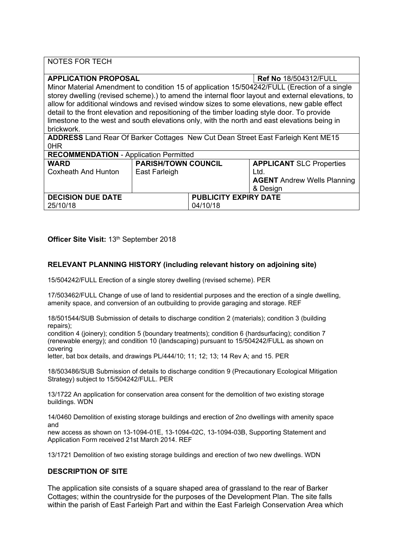| <b>NOTES FOR TECH</b>                                                                                                                                                                                                                                                                                                                                                                                                                                                                                                                                                        |                                             |                                          |                                                                                           |
|------------------------------------------------------------------------------------------------------------------------------------------------------------------------------------------------------------------------------------------------------------------------------------------------------------------------------------------------------------------------------------------------------------------------------------------------------------------------------------------------------------------------------------------------------------------------------|---------------------------------------------|------------------------------------------|-------------------------------------------------------------------------------------------|
| <b>APPLICATION PROPOSAL</b><br><b>Ref No 18/504312/FULL</b><br>Minor Material Amendment to condition 15 of application 15/504242/FULL (Erection of a single<br>storey dwelling (revised scheme).) to amend the internal floor layout and external elevations, to<br>allow for additional windows and revised window sizes to some elevations, new gable effect<br>detail to the front elevation and repositioning of the timber loading style door. To provide<br>limestone to the west and south elevations only, with the north and east elevations being in<br>brickwork. |                                             |                                          |                                                                                           |
| <b>ADDRESS</b> Land Rear Of Barker Cottages New Cut Dean Street East Farleigh Kent ME15<br>0HR                                                                                                                                                                                                                                                                                                                                                                                                                                                                               |                                             |                                          |                                                                                           |
| <b>RECOMMENDATION - Application Permitted</b>                                                                                                                                                                                                                                                                                                                                                                                                                                                                                                                                |                                             |                                          |                                                                                           |
| <b>WARD</b><br>Coxheath And Hunton                                                                                                                                                                                                                                                                                                                                                                                                                                                                                                                                           | <b>PARISH/TOWN COUNCIL</b><br>East Farleigh |                                          | <b>APPLICANT SLC Properties</b><br>Ltd.<br><b>AGENT</b> Andrew Wells Planning<br>& Design |
| <b>DECISION DUE DATE</b><br>25/10/18                                                                                                                                                                                                                                                                                                                                                                                                                                                                                                                                         |                                             | <b>PUBLICITY EXPIRY DATE</b><br>04/10/18 |                                                                                           |

# **Officer Site Visit:** 13th September 2018

# **RELEVANT PLANNING HISTORY (including relevant history on adjoining site)**

15/504242/FULL Erection of a single storey dwelling (revised scheme). PER

17/503462/FULL Change of use of land to residential purposes and the erection of a single dwelling, amenity space, and conversion of an outbuilding to provide garaging and storage. REF

18/501544/SUB Submission of details to discharge condition 2 (materials); condition 3 (building repairs);

condition 4 (joinery); condition 5 (boundary treatments); condition 6 (hardsurfacing); condition 7 (renewable energy); and condition 10 (landscaping) pursuant to 15/504242/FULL as shown on covering

letter, bat box details, and drawings PL/444/10; 11; 12; 13; 14 Rev A; and 15. PER

18/503486/SUB Submission of details to discharge condition 9 (Precautionary Ecological Mitigation Strategy) subject to 15/504242/FULL. PER

13/1722 An application for conservation area consent for the demolition of two existing storage buildings. WDN

14/0460 Demolition of existing storage buildings and erection of 2no dwellings with amenity space and

new access as shown on 13-1094-01E, 13-1094-02C, 13-1094-03B, Supporting Statement and Application Form received 21st March 2014. REF

13/1721 Demolition of two existing storage buildings and erection of two new dwellings. WDN

## **DESCRIPTION OF SITE**

The application site consists of a square shaped area of grassland to the rear of Barker Cottages; within the countryside for the purposes of the Development Plan. The site falls within the parish of East Farleigh Part and within the East Farleigh Conservation Area which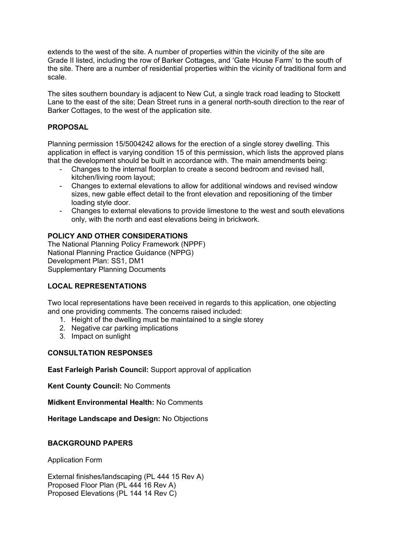extends to the west of the site. A number of properties within the vicinity of the site are Grade II listed, including the row of Barker Cottages, and 'Gate House Farm' to the south of the site. There are a number of residential properties within the vicinity of traditional form and scale.

The sites southern boundary is adjacent to New Cut, a single track road leading to Stockett Lane to the east of the site; Dean Street runs in a general north-south direction to the rear of Barker Cottages, to the west of the application site.

## **PROPOSAL**

Planning permission 15/5004242 allows for the erection of a single storey dwelling. This application in effect is varying condition 15 of this permission, which lists the approved plans that the development should be built in accordance with. The main amendments being:

- Changes to the internal floorplan to create a second bedroom and revised hall, kitchen/living room layout;
- Changes to external elevations to allow for additional windows and revised window sizes, new gable effect detail to the front elevation and repositioning of the timber loading style door.
- Changes to external elevations to provide limestone to the west and south elevations only, with the north and east elevations being in brickwork.

## **POLICY AND OTHER CONSIDERATIONS**

The National Planning Policy Framework (NPPF) National Planning Practice Guidance (NPPG) Development Plan: SS1, DM1 Supplementary Planning Documents

## **LOCAL REPRESENTATIONS**

Two local representations have been received in regards to this application, one objecting and one providing comments. The concerns raised included:

- 1. Height of the dwelling must be maintained to a single storey
- 2. Negative car parking implications
- 3. Impact on sunlight

#### **CONSULTATION RESPONSES**

**East Farleigh Parish Council:** Support approval of application

**Kent County Council:** No Comments

**Midkent Environmental Health:** No Comments

**Heritage Landscape and Design:** No Objections

#### **BACKGROUND PAPERS**

Application Form

External finishes/landscaping (PL 444 15 Rev A) Proposed Floor Plan (PL 444 16 Rev A) Proposed Elevations (PL 144 14 Rev C)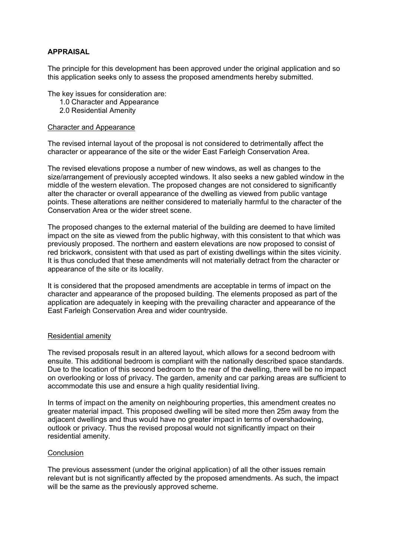### **APPRAISAL**

The principle for this development has been approved under the original application and so this application seeks only to assess the proposed amendments hereby submitted.

The key issues for consideration are:

- 1.0 Character and Appearance
- 2.0 Residential Amenity

#### Character and Appearance

The revised internal layout of the proposal is not considered to detrimentally affect the character or appearance of the site or the wider East Farleigh Conservation Area.

The revised elevations propose a number of new windows, as well as changes to the size/arrangement of previously accepted windows. It also seeks a new gabled window in the middle of the western elevation. The proposed changes are not considered to significantly alter the character or overall appearance of the dwelling as viewed from public vantage points. These alterations are neither considered to materially harmful to the character of the Conservation Area or the wider street scene.

The proposed changes to the external material of the building are deemed to have limited impact on the site as viewed from the public highway, with this consistent to that which was previously proposed. The northern and eastern elevations are now proposed to consist of red brickwork, consistent with that used as part of existing dwellings within the sites vicinity. It is thus concluded that these amendments will not materially detract from the character or appearance of the site or its locality.

It is considered that the proposed amendments are acceptable in terms of impact on the character and appearance of the proposed building. The elements proposed as part of the application are adequately in keeping with the prevailing character and appearance of the East Farleigh Conservation Area and wider countryside.

#### Residential amenity

The revised proposals result in an altered layout, which allows for a second bedroom with ensuite. This additional bedroom is compliant with the nationally described space standards. Due to the location of this second bedroom to the rear of the dwelling, there will be no impact on overlooking or loss of privacy. The garden, amenity and car parking areas are sufficient to accommodate this use and ensure a high quality residential living.

In terms of impact on the amenity on neighbouring properties, this amendment creates no greater material impact. This proposed dwelling will be sited more then 25m away from the adjacent dwellings and thus would have no greater impact in terms of overshadowing, outlook or privacy. Thus the revised proposal would not significantly impact on their residential amenity.

#### **Conclusion**

The previous assessment (under the original application) of all the other issues remain relevant but is not significantly affected by the proposed amendments. As such, the impact will be the same as the previously approved scheme.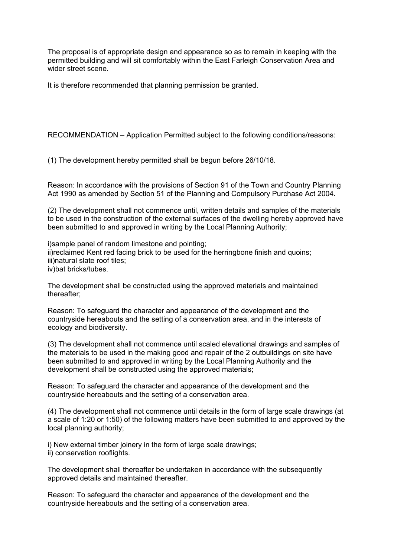The proposal is of appropriate design and appearance so as to remain in keeping with the permitted building and will sit comfortably within the East Farleigh Conservation Area and wider street scene.

It is therefore recommended that planning permission be granted.

RECOMMENDATION – Application Permitted subject to the following conditions/reasons:

(1) The development hereby permitted shall be begun before 26/10/18.

Reason: In accordance with the provisions of Section 91 of the Town and Country Planning Act 1990 as amended by Section 51 of the Planning and Compulsory Purchase Act 2004.

(2) The development shall not commence until, written details and samples of the materials to be used in the construction of the external surfaces of the dwelling hereby approved have been submitted to and approved in writing by the Local Planning Authority;

i)sample panel of random limestone and pointing; ii)reclaimed Kent red facing brick to be used for the herringbone finish and quoins; iii)natural slate roof tiles; iv)bat bricks/tubes.

The development shall be constructed using the approved materials and maintained thereafter;

Reason: To safeguard the character and appearance of the development and the countryside hereabouts and the setting of a conservation area, and in the interests of ecology and biodiversity.

(3) The development shall not commence until scaled elevational drawings and samples of the materials to be used in the making good and repair of the 2 outbuildings on site have been submitted to and approved in writing by the Local Planning Authority and the development shall be constructed using the approved materials;

Reason: To safeguard the character and appearance of the development and the countryside hereabouts and the setting of a conservation area.

(4) The development shall not commence until details in the form of large scale drawings (at a scale of 1:20 or 1:50) of the following matters have been submitted to and approved by the local planning authority;

i) New external timber joinery in the form of large scale drawings; ii) conservation rooflights.

The development shall thereafter be undertaken in accordance with the subsequently approved details and maintained thereafter.

Reason: To safeguard the character and appearance of the development and the countryside hereabouts and the setting of a conservation area.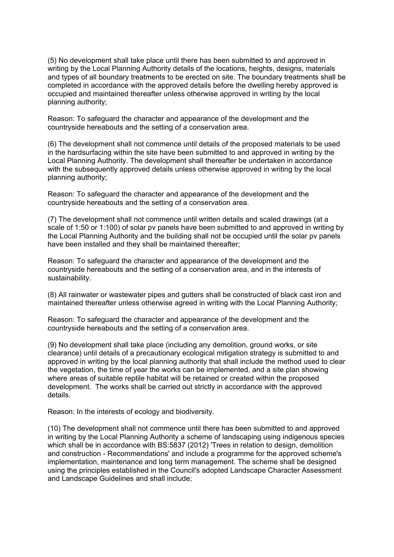(5) No development shall take place until there has been submitted to and approved in writing by the Local Planning Authority details of the locations, heights, designs, materials and types of all boundary treatments to be erected on site. The boundary treatments shall be completed in accordance with the approved details before the dwelling hereby approved is occupied and maintained thereafter unless otherwise approved in writing by the local planning authority;

Reason: To safeguard the character and appearance of the development and the countryside hereabouts and the setting of a conservation area.

(6) The development shall not commence until details of the proposed materials to be used in the hardsurfacing within the site have been submitted to and approved in writing by the Local Planning Authority. The development shall thereafter be undertaken in accordance with the subsequently approved details unless otherwise approved in writing by the local planning authority;

Reason: To safeguard the character and appearance of the development and the countryside hereabouts and the setting of a conservation area.

(7) The development shall not commence until written details and scaled drawings (at a scale of 1:50 or 1:100) of solar pv panels have been submitted to and approved in writing by the Local Planning Authority and the building shall not be occupied until the solar pv panels have been installed and they shall be maintained thereafter;

Reason: To safeguard the character and appearance of the development and the countryside hereabouts and the setting of a conservation area, and in the interests of sustainability.

(8) All rainwater or wastewater pipes and gutters shall be constructed of black cast iron and maintained thereafter unless otherwise agreed in writing with the Local Planning Authority;

Reason: To safeguard the character and appearance of the development and the countryside hereabouts and the setting of a conservation area.

(9) No development shall take place (including any demolition, ground works, or site clearance) until details of a precautionary ecological mitigation strategy is submitted to and approved in writing by the local planning authority that shall include the method used to clear the vegetation, the time of year the works can be implemented, and a site plan showing where areas of suitable reptile habitat will be retained or created within the proposed development. The works shall be carried out strictly in accordance with the approved details.

Reason: In the interests of ecology and biodiversity.

(10) The development shall not commence until there has been submitted to and approved in writing by the Local Planning Authority a scheme of landscaping using indigenous species which shall be in accordance with BS:5837 (2012) 'Trees in relation to design, demolition and construction - Recommendations' and include a programme for the approved scheme's implementation, maintenance and long term management. The scheme shall be designed using the principles established in the Council's adopted Landscape Character Assessment and Landscape Guidelines and shall include;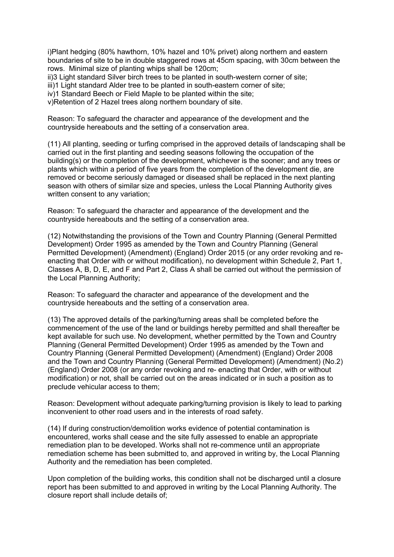i)Plant hedging (80% hawthorn, 10% hazel and 10% privet) along northern and eastern boundaries of site to be in double staggered rows at 45cm spacing, with 30cm between the rows. Minimal size of planting whips shall be 120cm;

ii)3 Light standard Silver birch trees to be planted in south-western corner of site;

iii)1 Light standard Alder tree to be planted in south-eastern corner of site;

iv)1 Standard Beech or Field Maple to be planted within the site;

v)Retention of 2 Hazel trees along northern boundary of site.

Reason: To safeguard the character and appearance of the development and the countryside hereabouts and the setting of a conservation area.

(11) All planting, seeding or turfing comprised in the approved details of landscaping shall be carried out in the first planting and seeding seasons following the occupation of the building(s) or the completion of the development, whichever is the sooner; and any trees or plants which within a period of five years from the completion of the development die, are removed or become seriously damaged or diseased shall be replaced in the next planting season with others of similar size and species, unless the Local Planning Authority gives written consent to any variation;

Reason: To safeguard the character and appearance of the development and the countryside hereabouts and the setting of a conservation area.

(12) Notwithstanding the provisions of the Town and Country Planning (General Permitted Development) Order 1995 as amended by the Town and Country Planning (General Permitted Development) (Amendment) (England) Order 2015 (or any order revoking and reenacting that Order with or without modification), no development within Schedule 2, Part 1, Classes A, B, D, E, and F and Part 2, Class A shall be carried out without the permission of the Local Planning Authority;

Reason: To safeguard the character and appearance of the development and the countryside hereabouts and the setting of a conservation area.

(13) The approved details of the parking/turning areas shall be completed before the commencement of the use of the land or buildings hereby permitted and shall thereafter be kept available for such use. No development, whether permitted by the Town and Country Planning (General Permitted Development) Order 1995 as amended by the Town and Country Planning (General Permitted Development) (Amendment) (England) Order 2008 and the Town and Country Planning (General Permitted Development) (Amendment) (No.2) (England) Order 2008 (or any order revoking and re- enacting that Order, with or without modification) or not, shall be carried out on the areas indicated or in such a position as to preclude vehicular access to them;

Reason: Development without adequate parking/turning provision is likely to lead to parking inconvenient to other road users and in the interests of road safety.

(14) If during construction/demolition works evidence of potential contamination is encountered, works shall cease and the site fully assessed to enable an appropriate remediation plan to be developed. Works shall not re-commence until an appropriate remediation scheme has been submitted to, and approved in writing by, the Local Planning Authority and the remediation has been completed.

Upon completion of the building works, this condition shall not be discharged until a closure report has been submitted to and approved in writing by the Local Planning Authority. The closure report shall include details of;